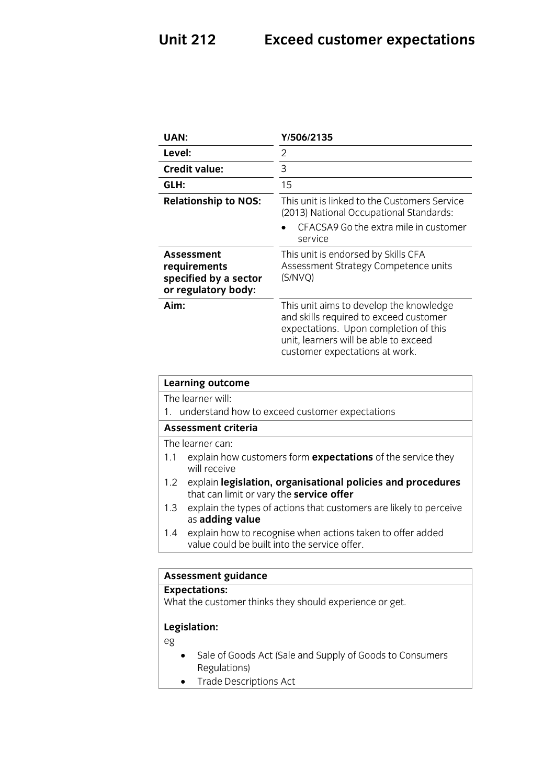### **Unit 212 Exceed customer expectations**

| <b>UAN:</b>                                                                       | Y/506/2135                                                                                                                                                                                            |
|-----------------------------------------------------------------------------------|-------------------------------------------------------------------------------------------------------------------------------------------------------------------------------------------------------|
| Level:                                                                            | 2                                                                                                                                                                                                     |
| Credit value:                                                                     | 3                                                                                                                                                                                                     |
| GLH:                                                                              | 15                                                                                                                                                                                                    |
| <b>Relationship to NOS:</b>                                                       | This unit is linked to the Customers Service<br>(2013) National Occupational Standards:<br>CFACSA9 Go the extra mile in customer<br>service                                                           |
| <b>Assessment</b><br>requirements<br>specified by a sector<br>or regulatory body: | This unit is endorsed by Skills CFA<br>Assessment Strategy Competence units<br>(S/NVQ)                                                                                                                |
| Aim:                                                                              | This unit aims to develop the knowledge<br>and skills required to exceed customer<br>expectations. Upon completion of this<br>unit, learners will be able to exceed<br>customer expectations at work. |
| <b>Learning outcome</b>                                                           |                                                                                                                                                                                                       |

The learner will:

1. understand how to exceed customer expectations

### Assessment criteria

The learner can:

- 1.1 explain how customers form **expectations** of the service they will receive
- 1.2 explain legislation, organisational policies and procedures that can limit or vary the **service offer**
- 1.3 explain the types of actions that customers are likely to perceive as adding value
- 1.4 explain how to recognise when actions taken to offer added value could be built into the service offer. value could be built into the service of the service of the service of the service of the service of the service of

# **Assessment guidance**

**Experience**<br>What the custo  $\mathcal{L}_{\text{max}}$  the customer thinks they should experience or get.

## **Legislation:**

eg

- Sale of Goods Act (Sale and Supply of Goods to Consumers<br>Regulations)
- Trade Descriptions Act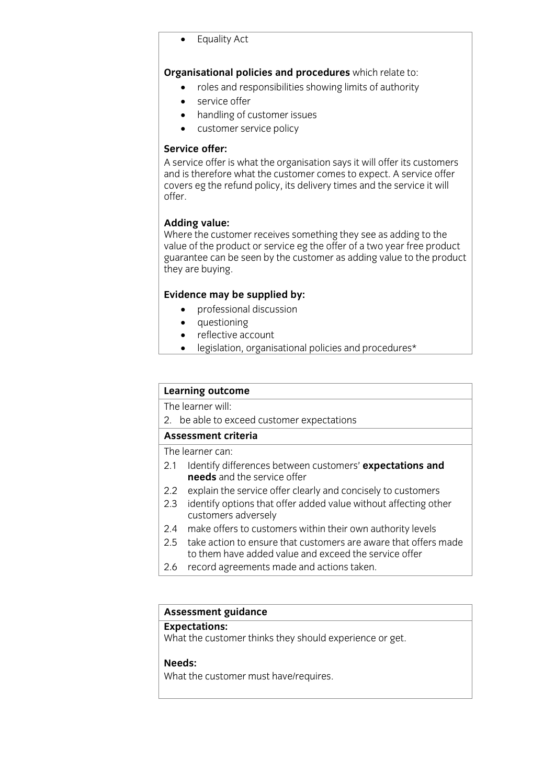Equality Act

- **Crime and responsibilities showing limits of authority** 
	- service offer<br>• handling of c
	- handling of customer issues<br>• customer service policy
	- customer service policy

### Service offer:

A service offer is what the organisation says it will offer its customers and is therefore what the customer comes to expect. A service offer covers eg the refund policy, its delivery times and the service it will covers eg the refund policy, he tiens by times and the service it will<br>offer offer.

Adding value:<br>Where the customer receives something they see as adding to the value of the product or service eg the offer of a two year free product guarantee can be seen by the customer as adding value to the product they are buying.  $\frac{1}{2}$  are buying.

- **Evidence may be supplied by:**<br> **e** professional discussion
	- questioning<br>• reflective ac
	- reflective account<br>• legislation organis
	- legislation, organisational policies and procedures\*

# **Learning outcome**<br>The learner will:

 $\overline{2}$  he shote of  $\overline{a}$  be able to expectations of expectations of  $\overline{b}$ 

The learner can:

- 2.1 Identify differences between customers' expectations and **needs** and the service offer
- 2.2 explain the service offer clearly and concisely to customers
- 2.3 identify options that offer added value without affecting other customers adversely
- 2.4 make offers to customers within their own authority levels
- 2.5 take action to ensure that customers are aware that offers made to them have added value and exceed the service offer
- 2.6 record agreements made and actions taken. 2.6 record agreements made and actions taken.

# **Assessment guidance**

What the customer thinks they should experience or get.  $\mathcal{L}_{\text{max}}$  the customer thinks they should experience or get.

**M**<br>that th What the customer must have/requires.